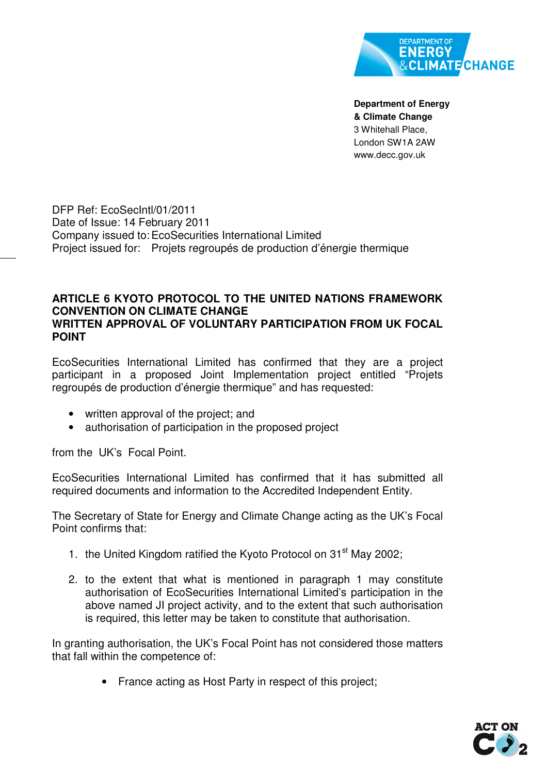

**Department of Energy & Climate Change**  3 Whitehall Place, London SW1A 2AW www.decc.gov.uk

DFP Ref: EcoSecIntl/01/2011 Date of Issue: 14 February 2011 Company issued to: EcoSecurities International Limited Project issued for: Projets regroupés de production d'énergie thermique

## **ARTICLE 6 KYOTO PROTOCOL TO THE UNITED NATIONS FRAMEWORK CONVENTION ON CLIMATE CHANGE WRITTEN APPROVAL OF VOLUNTARY PARTICIPATION FROM UK FOCAL POINT**

EcoSecurities International Limited has confirmed that they are a project participant in a proposed Joint Implementation project entitled "Projets regroupés de production d'énergie thermique" and has requested:

- written approval of the project; and
- authorisation of participation in the proposed project

from the UK's Focal Point.

EcoSecurities International Limited has confirmed that it has submitted all required documents and information to the Accredited Independent Entity.

The Secretary of State for Energy and Climate Change acting as the UK's Focal Point confirms that:

- 1. the United Kingdom ratified the Kyoto Protocol on 31<sup>st</sup> May 2002;
- 2. to the extent that what is mentioned in paragraph 1 may constitute authorisation of EcoSecurities International Limited's participation in the above named JI project activity, and to the extent that such authorisation is required, this letter may be taken to constitute that authorisation.

In granting authorisation, the UK's Focal Point has not considered those matters that fall within the competence of:

• France acting as Host Party in respect of this project;